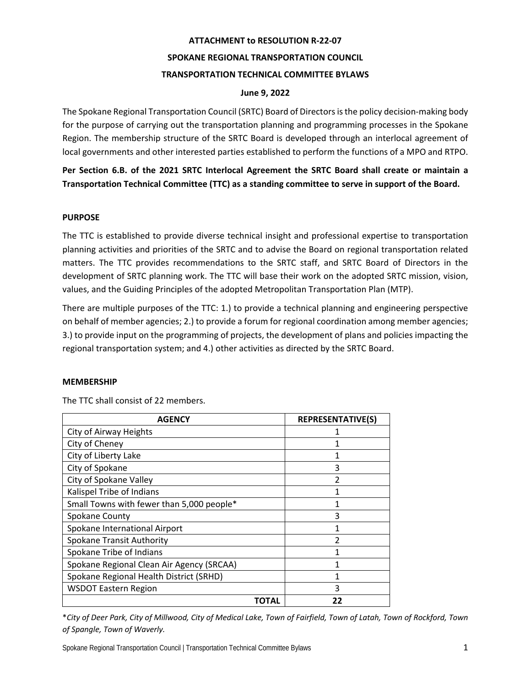# **ATTACHMENT to RESOLUTION R-22-07 SPOKANE REGIONAL TRANSPORTATION COUNCIL TRANSPORTATION TECHNICAL COMMITTEE BYLAWS**

## **June 9, 2022**

The Spokane Regional Transportation Council (SRTC) Board of Directors is the policy decision-making body for the purpose of carrying out the transportation planning and programming processes in the Spokane Region. The membership structure of the SRTC Board is developed through an interlocal agreement of local governments and other interested parties established to perform the functions of a MPO and RTPO.

**Per Section 6.B. of the 2021 SRTC Interlocal Agreement the SRTC Board shall create or maintain a Transportation Technical Committee (TTC) as a standing committee to serve in support of the Board.** 

# **PURPOSE**

The TTC is established to provide diverse technical insight and professional expertise to transportation planning activities and priorities of the SRTC and to advise the Board on regional transportation related matters. The TTC provides recommendations to the SRTC staff, and SRTC Board of Directors in the development of SRTC planning work. The TTC will base their work on the adopted SRTC mission, vision, values, and the Guiding Principles of the adopted Metropolitan Transportation Plan (MTP).

There are multiple purposes of the TTC: 1.) to provide a technical planning and engineering perspective on behalf of member agencies; 2.) to provide a forum for regional coordination among member agencies; 3.) to provide input on the programming of projects, the development of plans and policies impacting the regional transportation system; and 4.) other activities as directed by the SRTC Board.

## **MEMBERSHIP**

| <b>AGENCY</b>                             | <b>REPRESENTATIVE(S)</b> |
|-------------------------------------------|--------------------------|
| City of Airway Heights                    |                          |
| City of Cheney                            | 1                        |
| City of Liberty Lake                      | 1                        |
| City of Spokane                           | 3                        |
| City of Spokane Valley                    | $\mathfrak{p}$           |
| Kalispel Tribe of Indians                 | 1                        |
| Small Towns with fewer than 5,000 people* |                          |
| <b>Spokane County</b>                     | 3                        |
| Spokane International Airport             | 1                        |
| <b>Spokane Transit Authority</b>          |                          |
| Spokane Tribe of Indians                  |                          |
| Spokane Regional Clean Air Agency (SRCAA) | 1                        |
| Spokane Regional Health District (SRHD)   |                          |
| <b>WSDOT Eastern Region</b>               | 3                        |
| ΤΟΤΑL                                     | 22                       |

The TTC shall consist of 22 members.

\**City of Deer Park, City of Millwood, City of Medical Lake, Town of Fairfield, Town of Latah, Town of Rockford, Town of Spangle, Town of Waverly.*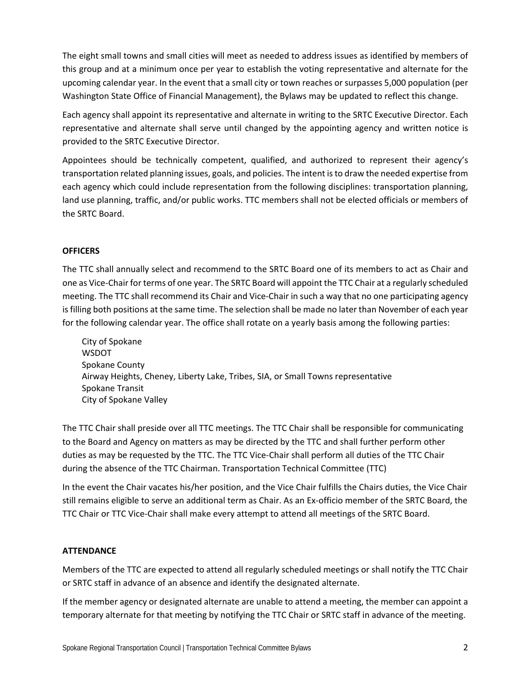The eight small towns and small cities will meet as needed to address issues as identified by members of this group and at a minimum once per year to establish the voting representative and alternate for the upcoming calendar year. In the event that a small city or town reaches or surpasses 5,000 population (per Washington State Office of Financial Management), the Bylaws may be updated to reflect this change.

Each agency shall appoint its representative and alternate in writing to the SRTC Executive Director. Each representative and alternate shall serve until changed by the appointing agency and written notice is provided to the SRTC Executive Director.

Appointees should be technically competent, qualified, and authorized to represent their agency's transportation related planning issues, goals, and policies. The intent is to draw the needed expertise from each agency which could include representation from the following disciplines: transportation planning, land use planning, traffic, and/or public works. TTC members shall not be elected officials or members of the SRTC Board.

# **OFFICERS**

The TTC shall annually select and recommend to the SRTC Board one of its members to act as Chair and one as Vice-Chair for terms of one year. The SRTC Board will appoint the TTC Chair at a regularly scheduled meeting. The TTC shall recommend its Chair and Vice-Chair in such a way that no one participating agency is filling both positions at the same time. The selection shall be made no later than November of each year for the following calendar year. The office shall rotate on a yearly basis among the following parties:

City of Spokane WSDOT Spokane County Airway Heights, Cheney, Liberty Lake, Tribes, SIA, or Small Towns representative Spokane Transit City of Spokane Valley

The TTC Chair shall preside over all TTC meetings. The TTC Chair shall be responsible for communicating to the Board and Agency on matters as may be directed by the TTC and shall further perform other duties as may be requested by the TTC. The TTC Vice-Chair shall perform all duties of the TTC Chair during the absence of the TTC Chairman. Transportation Technical Committee (TTC)

In the event the Chair vacates his/her position, and the Vice Chair fulfills the Chairs duties, the Vice Chair still remains eligible to serve an additional term as Chair. As an Ex-officio member of the SRTC Board, the TTC Chair or TTC Vice-Chair shall make every attempt to attend all meetings of the SRTC Board.

## **ATTENDANCE**

Members of the TTC are expected to attend all regularly scheduled meetings or shall notify the TTC Chair or SRTC staff in advance of an absence and identify the designated alternate.

If the member agency or designated alternate are unable to attend a meeting, the member can appoint a temporary alternate for that meeting by notifying the TTC Chair or SRTC staff in advance of the meeting.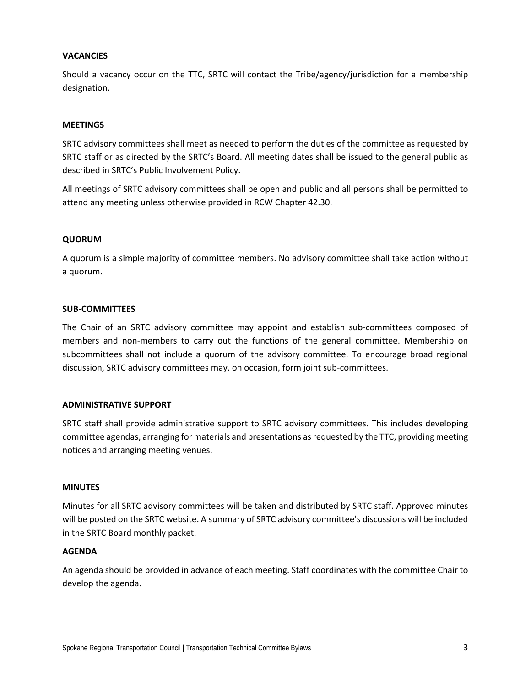### **VACANCIES**

Should a vacancy occur on the TTC, SRTC will contact the Tribe/agency/jurisdiction for a membership designation.

#### **MEETINGS**

SRTC advisory committees shall meet as needed to perform the duties of the committee as requested by SRTC staff or as directed by the SRTC's Board. All meeting dates shall be issued to the general public as described in SRTC's Public Involvement Policy.

All meetings of SRTC advisory committees shall be open and public and all persons shall be permitted to attend any meeting unless otherwise provided in RCW Chapter 42.30.

#### **QUORUM**

A quorum is a simple majority of committee members. No advisory committee shall take action without a quorum.

#### **SUB-COMMITTEES**

The Chair of an SRTC advisory committee may appoint and establish sub-committees composed of members and non-members to carry out the functions of the general committee. Membership on subcommittees shall not include a quorum of the advisory committee. To encourage broad regional discussion, SRTC advisory committees may, on occasion, form joint sub-committees.

#### **ADMINISTRATIVE SUPPORT**

SRTC staff shall provide administrative support to SRTC advisory committees. This includes developing committee agendas, arranging for materials and presentations asrequested by the TTC, providing meeting notices and arranging meeting venues.

#### **MINUTES**

Minutes for all SRTC advisory committees will be taken and distributed by SRTC staff. Approved minutes will be posted on the SRTC website. A summary of SRTC advisory committee's discussions will be included in the SRTC Board monthly packet.

#### **AGENDA**

An agenda should be provided in advance of each meeting. Staff coordinates with the committee Chair to develop the agenda.